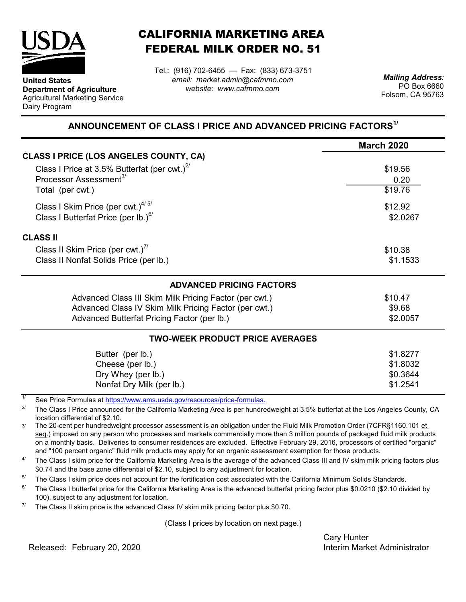

**United States**

Dairy Program

**Department of Agriculture** Agricultural Marketing Service

## CALIFORNIA MARKETING AREA FEDERAL MILK ORDER NO. 51

*email: market.admin@cafmmo.com website: www.cafmmo.com* Tel.: (916) 702-6455 — Fax: (833) 673-3751 *Mailing Address:*

PO Box 6660 Folsom, CA 95763

## **ANNOUNCEMENT OF CLASS I PRICE AND ADVANCED PRICING FACTORS1/**

|                                                                                | <b>March 2020</b> |  |  |
|--------------------------------------------------------------------------------|-------------------|--|--|
| <b>CLASS I PRICE (LOS ANGELES COUNTY, CA)</b>                                  |                   |  |  |
| Class I Price at 3.5% Butterfat (per cwt.) $2^{\prime\prime}$                  | \$19.56           |  |  |
| Processor Assessment <sup>3/</sup>                                             | 0.20              |  |  |
| Total (per cwt.)                                                               | \$19.76           |  |  |
| Class I Skim Price (per cwt.) $4/5/$                                           | \$12.92           |  |  |
| Class I Butterfat Price (per lb.) $^{67}$                                      | \$2.0267          |  |  |
| <b>CLASS II</b>                                                                |                   |  |  |
| Class II Skim Price (per cwt.)"                                                | \$10.38           |  |  |
| Class II Nonfat Solids Price (per lb.)                                         | \$1.1533          |  |  |
| <b>ADVANCED PRICING FACTORS</b>                                                |                   |  |  |
| Advanced Class III Skim Milk Pricing Factor (per cwt.)                         | \$10.47           |  |  |
| Advanced Class IV Skim Milk Pricing Factor (per cwt.)                          | \$9.68            |  |  |
| Advanced Butterfat Pricing Factor (per lb.)                                    | \$2.0057          |  |  |
| <b>TWO-WEEK PRODUCT PRICE AVERAGES</b>                                         |                   |  |  |
| Butter (per lb.)                                                               | \$1.8277          |  |  |
| Cheese (per lb.)                                                               | \$1.8032          |  |  |
| Dry Whey (per lb.)                                                             | \$0.3644          |  |  |
| Nonfat Dry Milk (per lb.)                                                      | \$1.2541          |  |  |
| 1/<br>See Dries Fermules at https://www.ams.usdo.gov/resequesce/prise fermules |                   |  |  |

[See Price Formulas at h](https://www.ams.usda.gov/resources/price-formulas)ttps://www.ams.usda.gov/resources/price-formulas.

2/ The Class I Price announced for the California Marketing Area is per hundredweight at 3.5% butterfat at the Los Angeles County, CA location differential of \$2.10.

3/ The 20-cent per hundredweight processor assessment is an obligation under the Fluid Milk Promotion Order (7CFR§1160.101 et seq.) imposed on any person who processes and markets commercially more than 3 million pounds of packaged fluid milk products on a monthly basis. Deliveries to consumer residences are excluded. Effective February 29, 2016, processors of certified "organic" and "100 percent organic" fluid milk products may apply for an organic assessment exemption for those products.

4/ The Class I skim price for the California Marketing Area is the average of the advanced Class III and IV skim milk pricing factors plus \$0.74 and the base zone differential of \$2.10, subject to any adjustment for location.

5/ The Class I skim price does not account for the fortification cost associated with the California Minimum Solids Standards.

6/ The Class I butterfat price for the California Marketing Area is the advanced butterfat pricing factor plus \$0.0210 (\$2.10 divided by 100), subject to any adjustment for location.

7/ The Class II skim price is the advanced Class IV skim milk pricing factor plus \$0.70.

(Class I prices by location on next page.)

Cary Hunter Released: Interim Market Administrator February 20, 2020